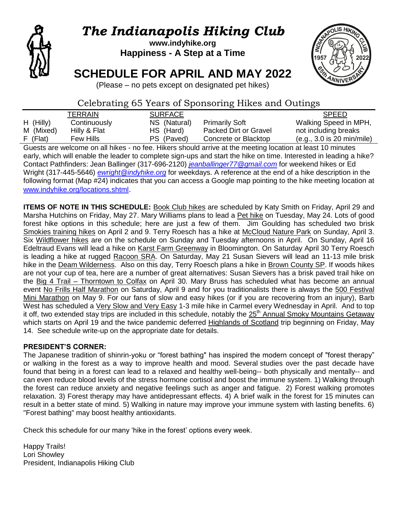

# *The Indianapolis Hiking Club*

**www.indyhike.org Happiness - A Step at a Time**

## **SCHEDULE FOR APRIL AND MAY 2022**



(Please – no pets except on designated pet hikes)

## Celebrating 65 Years of Sponsoring Hikes and Outings

|             | TERRAIN      | <b>SURFACE</b> |                       | <b>SPEED</b>               |
|-------------|--------------|----------------|-----------------------|----------------------------|
| $H$ (Hilly) | Continuously | NS (Natural)   | <b>Primarily Soft</b> | Walking Speed in MPH,      |
| M (Mixed)   | Hilly & Flat | HS (Hard)      | Packed Dirt or Gravel | not including breaks       |
| $F$ (Flat)  | Few Hills    | PS (Paved)     | Concrete or Blacktop  | (e.g., 3.0 is 20 min/mile) |

Guests are welcome on all hikes - no fee. Hikers should arrive at the meeting location at least 10 minutes early, which will enable the leader to complete sign-ups and start the hike on time. Interested in leading a hike? Contact Pathfinders: Jean Ballinger (317-696-2120) *[jeanballinger77@gmail.com](mailto:jeanballinger77@gmail.com)* for weekend hikes or Ed Wright (317-445-5646) *[ewright@indyhike.org](mailto:ewright@indyhike.org)* for weekdays. A reference at the end of a hike description in the following format (Map #24) indicates that you can access a Google map pointing to the hike meeting location at [www.indyhike.org/locations.shtml](http://www.indyhike.org/locations.shtml).

**ITEMS OF NOTE IN THIS SCHEDULE:** Book Club hikes are scheduled by Katy Smith on Friday, April 29 and Marsha Hutchins on Friday, May 27. Mary Williams plans to lead a Pet hike on Tuesday, May 24. Lots of good forest hike options in this schedule; here are just a few of them. Jim Goulding has scheduled two brisk Smokies training hikes on April 2 and 9. Terry Roesch has a hike at McCloud Nature Park on Sunday, April 3. Six Wildflower hikes are on the schedule on Sunday and Tuesday afternoons in April. On Sunday, April 16 Edeltraud Evans will lead a hike on Karst Farm Greenway in Bloomington. On Saturday April 30 Terry Roesch is leading a hike at rugged Racoon SRA. On Saturday, May 21 Susan Sievers will lead an 11-13 mile brisk hike in the Deam Wilderness. Also on this day, Terry Roesch plans a hike in Brown County SP. If woods hikes are not your cup of tea, here are a number of great alternatives: Susan Sievers has a brisk paved trail hike on the Big 4 Trail – Thorntown to Colfax on April 30. Mary Bruss has scheduled what has become an annual event No Frills Half Marathon on Saturday, April 9 and for you traditionalists there is always the 500 Festival Mini Marathon on May 9. For our fans of slow and easy hikes (or if you are recovering from an injury), Barb West has scheduled a Very Slow and Very Easy 1-3 mile hike in Carmel every Wednesday in April. And to top it off, two extended stay trips are included in this schedule, notably the  $25<sup>th</sup>$  Annual Smoky Mountains Getaway which starts on April 19 and the twice pandemic deferred Highlands of Scotland trip beginning on Friday, May 14. See schedule write-up on the appropriate date for details.

## **PRESIDENT'S CORNER:**

The Japanese tradition of shinrin-yoku or "forest bathing" has inspired the modern concept of "forest therapy" or walking in the forest as a way to improve health and mood. Several studies over the past decade have found that being in a forest can lead to a relaxed and healthy well-being-- both physically and mentally-- and can even reduce blood levels of the stress hormone cortisol and boost the immune system. 1) Walking through the forest can reduce anxiety and negative feelings such as anger and fatigue. 2) Forest walking promotes relaxation. 3) Forest therapy may have antidepressant effects. 4) A brief walk in the forest for 15 minutes can result in a better state of mind. 5) Walking in nature may improve your immune system with lasting benefits. 6) "Forest bathing" may boost healthy antioxidants.

Check this schedule for our many 'hike in the forest' options every week.

Happy Trails! Lori Showley President, Indianapolis Hiking Club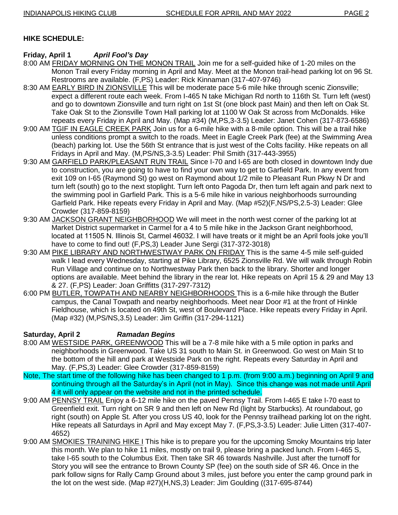## **HIKE SCHEDULE:**

## **Friday, April 1** *April Fool's Day*

- 8:00 AM FRIDAY MORNING ON THE MONON TRAIL Join me for a self-guided hike of 1-20 miles on the Monon Trail every Friday morning in April and May. Meet at the Monon trail-head parking lot on 96 St. Restrooms are available. (F,PS) Leader: Rick Kinnaman (317-407-9746)
- 8:30 AM EARLY BIRD IN ZIONSVILLE This will be moderate pace 5-6 mile hike through scenic Zionsville; expect a different route each week. From I-465 N take Michigan Rd north to 116th St. Turn left (west) and go to downtown Zionsville and turn right on 1st St (one block past Main) and then left on Oak St. Take Oak St to the Zionsville Town Hall parking lot at 1100 W Oak St across from McDonalds. Hike repeats every Friday in April and May. (Map #34) (M,PS,3-3.5) Leader: Janet Cohen (317-873-6586)
- 9:00 AM TGIF IN EAGLE CREEK PARK Join us for a 6-mile hike with a 8-mile option. This will be a trail hike unless conditions prompt a switch to the roads. Meet in Eagle Creek Park (fee) at the Swimming Area (beach) parking lot. Use the 56th St entrance that is just west of the Colts facility. Hike repeats on all Fridays in April and May. (M,PS/NS,3-3.5) Leader: Phil Smith (317-443-3955)
- 9:30 AM GARFIELD PARK/PLEASANT RUN TRAIL Since I-70 and I-65 are both closed in downtown Indy due to construction, you are going to have to find your own way to get to Garfield Park. In any event from exit 109 on I-65 (Raymond St) go west on Raymond about 1/2 mile to Pleasant Run Pkwy N Dr and turn left (south) go to the next stoplight. Turn left onto Pagoda Dr, then turn left again and park next to the swimming pool in Garfield Park. This is a 5-6 mile hike in various neighborhoods surrounding Garfield Park. Hike repeats every Friday in April and May. (Map #52)(F,NS/PS,2.5-3) Leader: Glee Crowder (317-859-8159)
- 9:30 AM JACKSON GRANT NEIGHBORHOOD We will meet in the north west corner of the parking lot at Market District supermarket in Carmel for a 4 to 5 mile hike in the Jackson Grant neighborhood, located at 11505 N. Illinois St, Carmel 46032. I will have treats or it might be an April fools joke you'll have to come to find out! (F,PS,3) Leader June Sergi (317-372-3018)
- 9:30 AM PIKE LIBRARY AND NORTHWESTWAY PARK ON FRIDAY This is the same 4-5 mile self-guided walk I lead every Wednesday, starting at Pike Library, 6525 Zionsville Rd. We will walk through Robin Run Village and continue on to Northwestway Park then back to the library. Shorter and longer options are available. Meet behind the library in the rear lot. Hike repeats on April 15 & 29 and May 13 & 27. (F,PS) Leader: Joan Griffitts (317-297-7312)
- 6:00 PM BUTLER, TOWPATH AND NEARBY NEIGHBORHOODS This is a 6-mile hike through the Butler campus, the Canal Towpath and nearby neighborhoods. Meet near Door #1 at the front of Hinkle Fieldhouse, which is located on 49th St, west of Boulevard Place. Hike repeats every Friday in April. (Map #32) (M,PS/NS,3.5) Leader: Jim Griffin (317-294-1121)

## **Saturday, April 2** *Ramadan Begins*

- 8:00 AM WESTSIDE PARK, GREENWOOD This will be a 7-8 mile hike with a 5 mile option in parks and neighborhoods in Greenwood. Take US 31 south to Main St. in Greenwood. Go west on Main St to the bottom of the hill and park at Westside Park on the right. Repeats every Saturday in April and May. (F,PS,3) Leader: Glee Crowder (317-859-8159)
- Note, The start time of the following hike has been changed to 1 p.m. (from 9:00 a.m.) beginning on April 9 and continuing through all the Saturday's in April (not in May). Since this change was not made until April 4 it will only appear on the website and not in the printed schedule.
- 9:00 AM PENNSY TRAIL Enjoy a 6-12 mile hike on the paved Pennsy Trail. From I-465 E take I-70 east to Greenfield exit. Turn right on SR 9 and then left on New Rd (light by Starbucks). At roundabout, go right (south) on Apple St. After you cross US 40, look for the Pennsy trailhead parking lot on the right. Hike repeats all Saturdays in April and May except May 7. (F,PS,3-3.5) Leader: Julie Litten (317-407- 4652)
- 9:00 AM SMOKIES TRAINING HIKE I This hike is to prepare you for the upcoming Smoky Mountains trip later this month. We plan to hike 11 miles, mostly on trail 9, please bring a packed lunch. From I-465 S, take I-65 south to the Columbus Exit. Then take SR 46 towards Nashville. Just after the turnoff for Story you will see the entrance to Brown County SP (fee) on the south side of SR 46. Once in the park follow signs for Rally Camp Ground about 3 miles, just before you enter the camp ground park in the lot on the west side. (Map #27)(H,NS,3) Leader: Jim Goulding ((317-695-8744)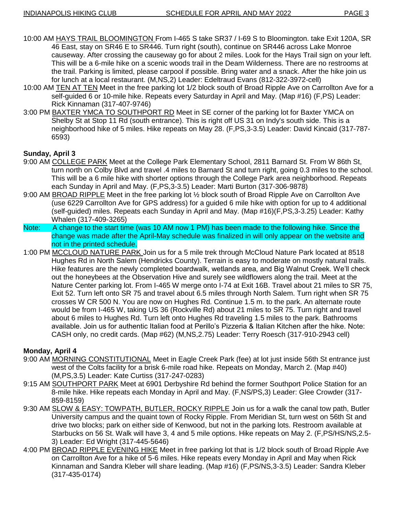- 10:00 AM HAYS TRAIL BLOOMINGTON From I-465 S take SR37 / I-69 S to Bloomington. take Exit 120A, SR 46 East, stay on SR46 E to SR446. Turn right (south), continue on SR446 across Lake Monroe causeway. After crossing the causeway go for about 2 miles. Look for the Hays Trail sign on your left. This will be a 6-mile hike on a scenic woods trail in the Deam Wilderness. There are no restrooms at the trail. Parking is limited, please carpool if possible. Bring water and a snack. After the hike join us for lunch at a local restaurant. (M,NS,2) Leader: Edeltraud Evans (812-322-3972-cell)
- 10:00 AM TEN AT TEN Meet in the free parking lot 1/2 block south of Broad Ripple Ave on Carrollton Ave for a self-guided 6 or 10-mile hike. Repeats every Saturday in April and May. (Map #16) (F,PS) Leader: Rick Kinnaman (317-407-9746)
- 3:00 PM BAXTER YMCA TO SOUTHPORT RD Meet in SE corner of the parking lot for Baxter YMCA on Shelby St at Stop 11 Rd (south entrance). This is right off US 31 on Indy's south side. This is a neighborhood hike of 5 miles. Hike repeats on May 28. (F,PS,3-3.5) Leader: David Kincaid (317-787- 6593)

#### **Sunday, April 3**

- 9:00 AM COLLEGE PARK Meet at the College Park Elementary School, 2811 Barnard St. From W 86th St, turn north on Colby Blvd and travel .4 miles to Barnard St and turn right, going 0.3 miles to the school. This will be a 6 mile hike with shorter options through the College Park area neighborhood. Repeats each Sunday in April and May. (F,PS,3-3.5) Leader: Marti Burton (317-306-9878)
- 9:00 AM BROAD RIPPLE Meet in the free parking lot ½ block south of Broad Ripple Ave on Carrollton Ave (use 6229 Carrollton Ave for GPS address) for a guided 6 mile hike with option for up to 4 additional (self-guided) miles. Repeats each Sunday in April and May. (Map #16)(F,PS,3-3.25) Leader: Kathy Whalen (317-409-3265)
- Note: A change to the start time (was 10 AM now 1 PM) has been made to the following hike. Since the change was made after the April-May schedule was finalized in will only appear on the website and not in the printed schedule.
- 1:00 PM MCCLOUD NATURE PARK Join us for a 5 mile trek through McCloud Nature Park located at 8518 Hughes Rd in North Salem (Hendricks County). Terrain is easy to moderate on mostly natural trails. Hike features are the newly completed boardwalk, wetlands area, and Big Walnut Creek. We'll check out the honeybees at the Observation Hive and surely see wildflowers along the trail. Meet at the Nature Center parking lot. From I-465 W merge onto I-74 at Exit 16B. Travel about 21 miles to SR 75, Exit 52. Turn left onto SR 75 and travel about 6.5 miles through North Salem. Turn right when SR 75 crosses W CR 500 N. You are now on Hughes Rd. Continue 1.5 m. to the park. An alternate route would be from I-465 W, taking US 36 (Rockville Rd) about 21 miles to SR 75. Turn right and travel about 6 miles to Hughes Rd. Turn left onto Hughes Rd traveling 1.5 miles to the park. Bathrooms available. Join us for authentic Italian food at Perillo's Pizzeria & Italian Kitchen after the hike. Note: CASH only, no credit cards. (Map #62) (M,NS,2.75) Leader: Terry Roesch (317-910-2943 cell)

#### **Monday, April 4**

- 9:00 AM MORNING CONSTITUTIONAL Meet in Eagle Creek Park (fee) at lot just inside 56th St entrance just west of the Colts facility for a brisk 6-mile road hike. Repeats on Monday, March 2. (Map #40) (M,PS,3.5) Leader: Kate Curtiss (317-247-0283)
- 9:15 AM SOUTHPORT PARK Meet at 6901 Derbyshire Rd behind the former Southport Police Station for an 8-mile hike. Hike repeats each Monday in April and May. (F,NS/PS,3) Leader: Glee Crowder (317- 859-8159)
- 9:30 AM SLOW & EASY: TOWPATH, BUTLER, ROCKY RIPPLE Join us for a walk the canal tow path, Butler University campus and the quaint town of Rocky Ripple. From Meridian St, turn west on 56th St and drive two blocks; park on either side of Kenwood, but not in the parking lots. Restroom available at Starbucks on 56 St. Walk will have 3, 4 and 5 mile options. Hike repeats on May 2. (F,PS/HS/NS,2.5- 3) Leader: Ed Wright (317-445-5646)
- 4:00 PM BROAD RIPPLE EVENING HIKE Meet in free parking lot that is 1/2 block south of Broad Ripple Ave on Carrollton Ave for a hike of 5-6 miles. Hike repeats every Monday in April and May when Rick Kinnaman and Sandra Kleber will share leading. (Map #16) (F,PS/NS,3-3.5) Leader: Sandra Kleber (317-435-0174)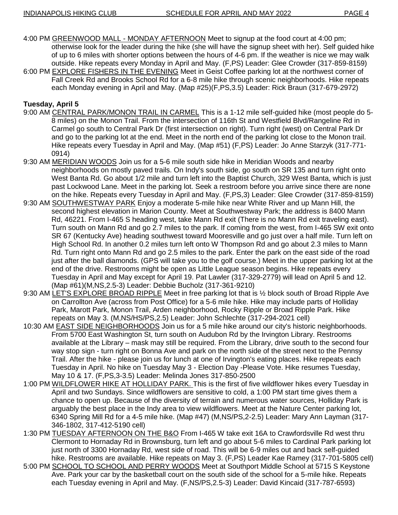- 4:00 PM GREENWOOD MALL MONDAY AFTERNOON Meet to signup at the food court at 4:00 pm; otherwise look for the leader during the hike (she will have the signup sheet with her). Self guided hike of up to 6 miles with shorter options between the hours of 4-6 pm. If the weather is nice we may walk outside. Hike repeats every Monday in April and May. (F,PS) Leader: Glee Crowder (317-859-8159)
- 6:00 PM EXPLORE FISHERS IN THE EVENING Meet in Geist Coffee parking lot at the northwest corner of Fall Creek Rd and Brooks School Rd for a 6-8 mile hike through scenic neighborhoods. Hike repeats each Monday evening in April and May. (Map #25)(F,PS,3.5) Leader: Rick Braun (317-679-2972)

#### **Tuesday, April 5**

- 9:00 AM CENTRAL PARK/MONON TRAIL IN CARMEL This is a 1-12 mile self-guided hike (most people do 5-8 miles) on the Monon Trail. From the intersection of 116th St and Westfield Blvd/Rangeline Rd in Carmel go south to Central Park Dr (first intersection on right). Turn right (west) on Central Park Dr and go to the parking lot at the end. Meet in the north end of the parking lot close to the Monon trail. Hike repeats every Tuesday in April and May. (Map #51) (F,PS) Leader: Jo Anne Starzyk (317-771- 0914)
- 9:30 AM MERIDIAN WOODS Join us for a 5-6 mile south side hike in Meridian Woods and nearby neighborhoods on mostly paved trails. On Indy's south side, go south on SR 135 and turn right onto West Banta Rd. Go about 1/2 mile and turn left into the Baptist Church, 329 West Banta, which is just past Lockwood Lane. Meet in the parking lot. Seek a restroom before you arrive since there are none on the hike. Repeats every Tuesday in April and May. (F,PS,3) Leader: Glee Crowder (317-859-8159)
- 9:30 AM SOUTHWESTWAY PARK Enjoy a moderate 5-mile hike near White River and up Mann Hill, the second highest elevation in Marion County. Meet at Southwestway Park; the address is 8400 Mann Rd, 46221. From I-465 S heading west, take Mann Rd exit (There is no Mann Rd exit traveling east). Turn south on Mann Rd and go 2.7 miles to the park. If coming from the west, from I-465 SW exit onto SR 67 (Kentucky Ave) heading southwest toward Mooresville and go just over a half mile. Turn left on High School Rd. In another 0.2 miles turn left onto W Thompson Rd and go about 2.3 miles to Mann Rd. Turn right onto Mann Rd and go 2.5 miles to the park. Enter the park on the east side of the road just after the ball diamonds. (GPS will take you to the golf course.) Meet in the upper parking lot at the end of the drive. Restrooms might be open as Little League season begins. Hike repeats every Tuesday in April and May except for April 19. Pat Lawler (317-329-2779) will lead on April 5 and 12. (Map #61)(M,NS,2.5-3) Leader: Debbie Bucholz (317-361-9210)
- 9:30 AM LET'S EXPLORE BROAD RIPPLE Meet in free parking lot that is ½ block south of Broad Ripple Ave on Carrollton Ave (across from Post Office) for a 5-6 mile hike. Hike may include parts of Holliday Park, Marott Park, Monon Trail, Arden neighborhood, Rocky Ripple or Broad Ripple Park. Hike repeats on May 3. (M,NS/HS/PS,2.5) Leader: John Schlechte (317-294-2021 cell)
- 10:30 AM EAST SIDE NEIGHBORHOODS Join us for a 5 mile hike around our city's historic neighborhoods. From 5700 East Washington St, turn south on Audubon Rd by the Irvington Library. Restrooms available at the Library – mask may still be required. From the Library, drive south to the second four way stop sign - turn right on Bonna Ave and park on the north side of the street next to the Pennsy Trail. After the hike - please join us for lunch at one of Irvington's eating places. Hike repeats each Tuesday in April. No hike on Tuesday May 3 - Election Day -Please Vote. Hike resumes Tuesday, May 10 & 17. (F,PS,3-3.5) Leader: Melinda Jones 317-850-2500
- 1:00 PM WILDFLOWER HIKE AT HOLLIDAY PARK. This is the first of five wildflower hikes every Tuesday in April and two Sundays. Since wildflowers are sensitive to cold, a 1:00 PM start time gives them a chance to open up. Because of the diversity of terrain and numerous water sources, Holliday Park is arguably the best place in the Indy area to view wildflowers. Meet at the Nature Center parking lot, 6340 Spring Mill Rd for a 4-5 mile hike. (Map #47) (M,NS/PS,2-2.5) Leader: Mary Ann Layman (317- 346-1802, 317-412-5190 cell)
- 1:30 PM TUESDAY AFTERNOON ON THE B&O From I-465 W take exit 16A to Crawfordsville Rd west thru Clermont to Hornaday Rd in Brownsburg, turn left and go about 5-6 miles to Cardinal Park parking lot just north of 3300 Hornaday Rd, west side of road. This will be 6-9 miles out and back self-guided hike. Restrooms are available. Hike repeats on May 3. (F,PS) Leader Kae Ramey (317-701-5805 cell)
- 5:00 PM SCHOOL TO SCHOOL AND PERRY WOODS Meet at Southport Middle School at 5715 S Keystone Ave. Park your car by the basketball court on the south side of the school for a 5-mile hike. Repeats each Tuesday evening in April and May. (F,NS/PS,2.5-3) Leader: David Kincaid (317-787-6593)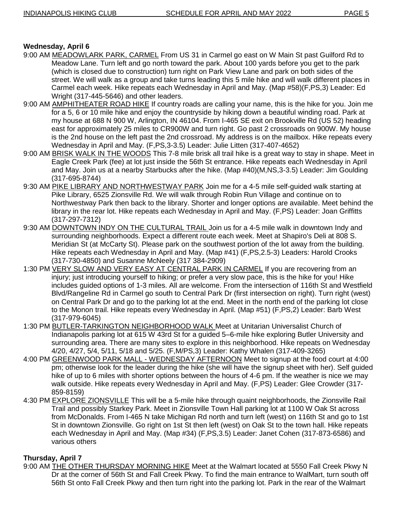## **Wednesday, April 6**

- 9:00 AM MEADOWLARK PARK, CARMEL From US 31 in Carmel go east on W Main St past Guilford Rd to Meadow Lane. Turn left and go north toward the park. About 100 yards before you get to the park (which is closed due to construction) turn right on Park View Lane and park on both sides of the street. We will walk as a group and take turns leading this 5 mile hike and will walk different places in Carmel each week. Hike repeats each Wednesday in April and May. (Map #58)(F,PS,3) Leader: Ed Wright (317-445-5646) and other leaders.
- 9:00 AM AMPHITHEATER ROAD HIKE If country roads are calling your name, this is the hike for you. Join me for a 5, 6 or 10 mile hike and enjoy the countryside by hiking down a beautiful winding road. Park at my house at 688 N 900 W, Arlington, IN 46104. From I-465 SE exit on Brookville Rd (US 52) heading east for approximately 25 miles to CR900W and turn right. Go past 2 crossroads on 900W. My house is the 2nd house on the left past the 2nd crossroad. My address is on the mailbox. Hike repeats every Wednesday in April and May. (F,PS,3-3.5) Leader: Julie Litten (317-407-4652)
- 9:00 AM BRISK WALK IN THE WOODS This 7-8 mile brisk all trail hike is a great way to stay in shape. Meet in Eagle Creek Park (fee) at lot just inside the 56th St entrance. Hike repeats each Wednesday in April and May. Join us at a nearby Starbucks after the hike. (Map #40)(M,NS,3-3.5) Leader: Jim Goulding (317-695-8744)
- 9:30 AM PIKE LIBRARY AND NORTHWESTWAY PARK Join me for a 4-5 mile self-guided walk starting at Pike Library, 6525 Zionsville Rd. We will walk through Robin Run Village and continue on to Northwestway Park then back to the library. Shorter and longer options are available. Meet behind the library in the rear lot. Hike repeats each Wednesday in April and May. (F,PS) Leader: Joan Griffitts (317-297-7312)
- 9:30 AM DOWNTOWN INDY ON THE CULTURAL TRAIL Join us for a 4-5 mile walk in downtown Indy and surrounding neighborhoods. Expect a different route each week. Meet at Shapiro's Deli at 808 S. Meridian St (at McCarty St). Please park on the southwest portion of the lot away from the building. Hike repeats each Wednesday in April and May. (Map #41) (F,PS,2.5-3) Leaders: Harold Crooks (317-730-4850) and Susanne McNeely (317 384-2909)
- 1:30 PM VERY SLOW AND VERY EASY AT CENTRAL PARK IN CARMEL If you are recovering from an injury; just introducing yourself to hiking; or prefer a very slow pace, this is the hike for you! Hike includes guided options of 1-3 miles. All are welcome. From the intersection of 116th St and Westfield Blvd/Rangeline Rd in Carmel go south to Central Park Dr (first intersection on right). Turn right (west) on Central Park Dr and go to the parking lot at the end. Meet in the north end of the parking lot close to the Monon trail. Hike repeats every Wednesday in April. (Map #51) (F,PS,2) Leader: Barb West (317-979-6045)
- 1:30 PM BUTLER-TARKINGTON NEIGHBORHOOD WALK Meet at Unitarian Universalist Church of Indianapolis parking lot at 615 W 43rd St for a guided 5–6-mile hike exploring Butler University and surrounding area. There are many sites to explore in this neighborhood. Hike repeats on Wednesday 4/20, 4/27, 5/4, 5/11, 5/18 and 5/25. (F,M/PS,3) Leader: Kathy Whalen (317-409-3265)
- 4:00 PM GREENWOOD PARK MALL WEDNESDAY AFTERNOON Meet to signup at the food court at 4:00 pm; otherwise look for the leader during the hike (she will have the signup sheet with her). Self guided hike of up to 6 miles with shorter options between the hours of 4-6 pm. If the weather is nice we may walk outside. Hike repeats every Wednesday in April and May. (F,PS) Leader: Glee Crowder (317- 859-8159)
- 4:30 PM EXPLORE ZIONSVILLE This will be a 5-mile hike through quaint neighborhoods, the Zionsville Rail Trail and possibly Starkey Park. Meet in Zionsville Town Hall parking lot at 1100 W Oak St across from McDonalds. From I-465 N take Michigan Rd north and turn left (west) on 116th St and go to 1st St in downtown Zionsville. Go right on 1st St then left (west) on Oak St to the town hall. Hike repeats each Wednesday in April and May. (Map #34) (F,PS,3.5) Leader: Janet Cohen (317-873-6586) and various others

## **Thursday, April 7**

9:00 AM THE OTHER THURSDAY MORNING HIKE Meet at the Walmart located at 5550 Fall Creek Pkwy N Dr at the corner of 56th St and Fall Creek Pkwy. To find the main entrance to WalMart, turn south off 56th St onto Fall Creek Pkwy and then turn right into the parking lot. Park in the rear of the Walmart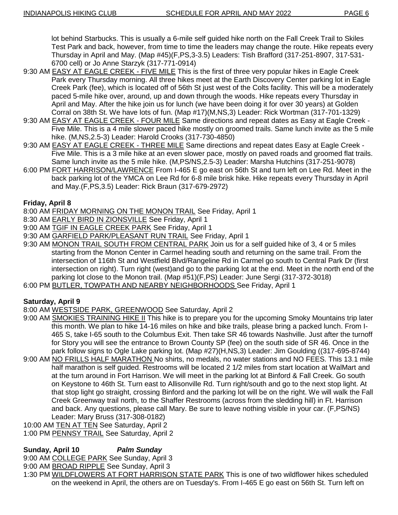lot behind Starbucks. This is usually a 6-mile self guided hike north on the Fall Creek Trail to Skiles Test Park and back, however, from time to time the leaders may change the route. Hike repeats every Thursday in April and May. (Map #45)(F,PS,3-3.5) Leaders: Tish Brafford (317-251-8907, 317-531- 6700 cell) or Jo Anne Starzyk (317-771-0914)

- 9:30 AM EASY AT EAGLE CREEK FIVE MILE This is the first of three very popular hikes in Eagle Creek Park every Thursday morning. All three hikes meet at the Earth Discovery Center parking lot in Eagle Creek Park (fee), which is located off of 56th St just west of the Colts facility. This will be a moderately paced 5-mile hike over, around, up and down through the woods. Hike repeats every Thursday in April and May. After the hike join us for lunch (we have been doing it for over 30 years) at Golden Corral on 38th St. We have lots of fun. (Map #17)(M,NS,3) Leader: Rick Wortman (317-701-1329)
- 9:30 AM **EASY AT EAGLE CREEK FOUR MILE** Same directions and repeat dates as Easy at Eagle Creek -Five Mile. This is a 4 mile slower paced hike mostly on groomed trails. Same lunch invite as the 5 mile hike. (M,NS,2.5-3) Leader: Harold Crooks (317-730-4850)
- 9:30 AM EASY AT EAGLE CREEK THREE MILE Same directions and repeat dates Easy at Eagle Creek Five Mile. This is a 3 mile hike at an even slower pace, mostly on paved roads and groomed flat trails. Same lunch invite as the 5 mile hike. (M,PS/NS,2.5-3) Leader: Marsha Hutchins (317-251-9078)
- 6:00 PM FORT HARRISON/LAWRENCE From I-465 E go east on 56th St and turn left on Lee Rd. Meet in the back parking lot of the YMCA on Lee Rd for 6-8 mile brisk hike. Hike repeats every Thursday in April and May.(F,PS,3.5) Leader: Rick Braun (317-679-2972)

## **Friday, April 8**

- 8:00 AM FRIDAY MORNING ON THE MONON TRAIL See Friday, April 1
- 8:30 AM EARLY BIRD IN ZIONSVILLE See Friday, April 1
- 9:00 AM TGIF IN EAGLE CREEK PARK See Friday, April 1
- 9:30 AM GARFIELD PARK/PLEASANT RUN TRAIL See Friday, April 1
- 9:30 AM MONON TRAIL SOUTH FROM CENTRAL PARK Join us for a self guided hike of 3, 4 or 5 miles starting from the Monon Center in Carmel heading south and returning on the same trail. From the intersection of 116th St and Westfield Blvd/Rangeline Rd in Carmel go south to Central Park Dr (first intersection on right). Turn right (west)and go to the parking lot at the end. Meet in the north end of the parking lot close to the Monon trail. (Map #51)(F,PS) Leader: June Sergi (317-372-3018)
- 6:00 PM BUTLER, TOWPATH AND NEARBY NEIGHBORHOODS See Friday, April 1

#### **Saturday, April 9**

- 8:00 AM WESTSIDE PARK, GREENWOOD See Saturday, April 2
- 9:00 AM SMOKIES TRAINING HIKE II This hike is to prepare you for the upcoming Smoky Mountains trip later this month. We plan to hike 14-16 miles on hike and bike trails, please bring a packed lunch. From I-465 S, take I-65 south to the Columbus Exit. Then take SR 46 towards Nashville. Just after the turnoff for Story you will see the entrance to Brown County SP (fee) on the south side of SR 46. Once in the park follow signs to Ogle Lake parking lot. (Map #27)(H,NS,3) Leader: Jim Goulding ((317-695-8744)
- 9:00 AM NO FRILLS HALF MARATHON No shirts, no medals, no water stations and NO FEES. This 13.1 mile half marathon is self guided. Restrooms will be located 2 1/2 miles from start location at WalMart and at the turn around in Fort Harrison. We will meet in the parking lot at Binford & Fall Creek. Go south on Keystone to 46th St. Turn east to Allisonville Rd. Turn right/south and go to the next stop light. At that stop light go straight, crossing Binford and the parking lot will be on the right. We will walk the Fall Creek Greenway trail north, to the Shaffer Restrooms (across from the sledding hill) in Ft. Harrison and back. Any questions, please call Mary. Be sure to leave nothing visible in your car. (F,PS/NS) Leader: Mary Bruss (317-308-0182)
- 10:00 AM TEN AT TEN See Saturday, April 2
- 1:00 PM PENNSY TRAIL See Saturday, April 2

#### **Sunday, April 10** *Palm Sunday*

- 9:00 AM COLLEGE PARK See Sunday, April 3
- 9:00 AM BROAD RIPPLE See Sunday, April 3
- 1:30 PM WILDFLOWERS AT FORT HARRISON STATE PARK This is one of two wildflower hikes scheduled on the weekend in April, the others are on Tuesday's. From I-465 E go east on 56th St. Turn left on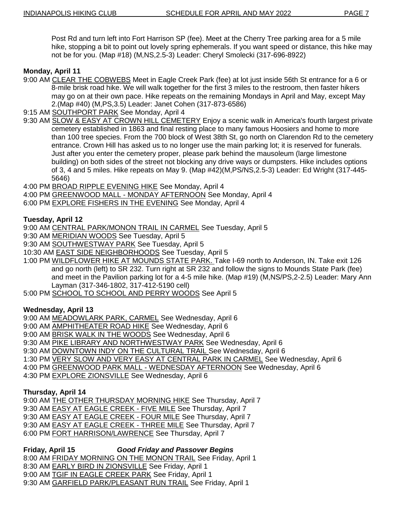Post Rd and turn left into Fort Harrison SP (fee). Meet at the Cherry Tree parking area for a 5 mile hike, stopping a bit to point out lovely spring ephemerals. If you want speed or distance, this hike may not be for you. (Map #18) (M,NS,2.5-3) Leader: Cheryl Smolecki (317-696-8922)

## **Monday, April 11**

- 9:00 AM CLEAR THE COBWEBS Meet in Eagle Creek Park (fee) at lot just inside 56th St entrance for a 6 or 8-mile brisk road hike. We will walk together for the first 3 miles to the restroom, then faster hikers may go on at their own pace. Hike repeats on the remaining Mondays in April and May, except May 2.(Map #40) (M,PS,3.5) Leader: Janet Cohen (317-873-6586)
- 9:15 AM SOUTHPORT PARK See Monday, April 4
- 9:30 AM SLOW & EASY AT CROWN HILL CEMETERY Enjoy a scenic walk in America's fourth largest private cemetery established in 1863 and final resting place to many famous Hoosiers and home to more than 100 tree species. From the 700 block of West 38th St, go north on Clarendon Rd to the cemetery entrance. Crown Hill has asked us to no longer use the main parking lot; it is reserved for funerals. Just after you enter the cemetery proper, please park behind the mausoleum (large limestone building) on both sides of the street not blocking any drive ways or dumpsters. Hike includes options of 3, 4 and 5 miles. Hike repeats on May 9. (Map #42)(M,PS/NS,2.5-3) Leader: Ed Wright (317-445- 5646)
- 4:00 PM BROAD RIPPLE EVENING HIKE See Monday, April 4
- 4:00 PM GREENWOOD MALL MONDAY AFTERNOON See Monday, April 4
- 6:00 PM EXPLORE FISHERS IN THE EVENING See Monday, April 4

## **Tuesday, April 12**

- 9:00 AM CENTRAL PARK/MONON TRAIL IN CARMEL See Tuesday, April 5
- 9:30 AM MERIDIAN WOODS See Tuesday, April 5
- 9:30 AM SOUTHWESTWAY PARK See Tuesday, April 5
- 10:30 AM EAST SIDE NEIGHBORHOODS See Tuesday, April 5
- 1:00 PM WILDFLOWER HIKE AT MOUNDS STATE PARK. Take I-69 north to Anderson, IN. Take exit 126 and go north (left) to SR 232. Turn right at SR 232 and follow the signs to Mounds State Park (fee) and meet in the Pavilion parking lot for a 4-5 mile hike. (Map #19) (M,NS/PS,2-2.5) Leader: Mary Ann Layman (317-346-1802, 317-412-5190 cell)
- 5:00 PM SCHOOL TO SCHOOL AND PERRY WOODS See April 5

#### **Wednesday, April 13**

9:00 AM MEADOWLARK PARK, CARMEL See Wednesday, April 6

- 9:00 AM AMPHITHEATER ROAD HIKE See Wednesday, April 6
- 9:00 AM BRISK WALK IN THE WOODS See Wednesday, April 6
- 9:30 AM PIKE LIBRARY AND NORTHWESTWAY PARK See Wednesday, April 6
- 9:30 AM DOWNTOWN INDY ON THE CULTURAL TRAIL See Wednesday, April 6
- 1:30 PM VERY SLOW AND VERY EASY AT CENTRAL PARK IN CARMEL See Wednesday, April 6
- 4:00 PM GREENWOOD PARK MALL WEDNESDAY AFTERNOON See Wednesday, April 6
- 4:30 PM EXPLORE ZIONSVILLE See Wednesday, April 6

#### **Thursday, April 14**

9:00 AM THE OTHER THURSDAY MORNING HIKE See Thursday, April 7

- 9:30 AM EASY AT EAGLE CREEK FIVE MILE See Thursday, April 7
- 9:30 AM EASY AT EAGLE CREEK FOUR MILE See Thursday, April 7
- 9:30 AM EASY AT EAGLE CREEK THREE MILE See Thursday, April 7
- 6:00 PM FORT HARRISON/LAWRENCE See Thursday, April 7

#### **Friday, April 15** *Good Friday and Passover Begins*

8:00 AM FRIDAY MORNING ON THE MONON TRAIL See Friday, April 1

- 8:30 AM EARLY BIRD IN ZIONSVILLE See Friday, April 1
- 9:00 AM TGIF IN EAGLE CREEK PARK See Friday, April 1
- 9:30 AM GARFIELD PARK/PLEASANT RUN TRAIL See Friday, April 1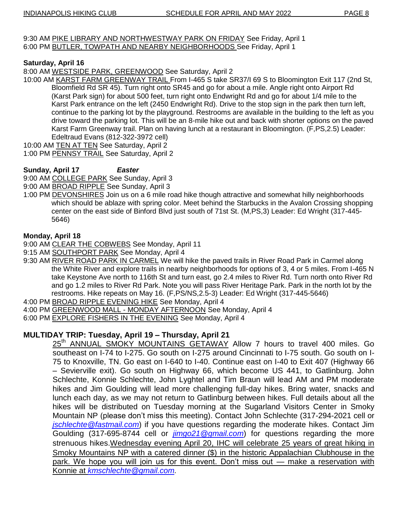9:30 AM PIKE LIBRARY AND NORTHWESTWAY PARK ON FRIDAY See Friday, April 1 6:00 PM BUTLER, TOWPATH AND NEARBY NEIGHBORHOODS See Friday, April 1

## **Saturday, April 16**

8:00 AM WESTSIDE PARK, GREENWOOD See Saturday, April 2

10:00 AM KARST FARM GREENWAY TRAIL From I-465 S take SR37/I 69 S to Bloomington Exit 117 (2nd St, Bloomfield Rd SR 45). Turn right onto SR45 and go for about a mile. Angle right onto Airport Rd (Karst Park sign) for about 500 feet, turn right onto Endwright Rd and go for about 1/4 mile to the Karst Park entrance on the left (2450 Endwright Rd). Drive to the stop sign in the park then turn left, continue to the parking lot by the playground. Restrooms are available in the building to the left as you drive toward the parking lot. This will be an 8-mile hike out and back with shorter options on the paved Karst Farm Greenway trail. Plan on having lunch at a restaurant in Bloomington. (F,PS,2.5) Leader: Edeltraud Evans (812-322-3972 cell)

10:00 AM TEN AT TEN See Saturday, April 2

1:00 PM PENNSY TRAIL See Saturday, April 2

## **Sunday, April 17** *Easter*

9:00 AM COLLEGE PARK See Sunday, April 3

- 9:00 AM BROAD RIPPLE See Sunday, April 3
- 1:00 PM DEVONSHIRES Join us on a 6 mile road hike though attractive and somewhat hilly neighborhoods which should be ablaze with spring color. Meet behind the Starbucks in the Avalon Crossing shopping center on the east side of Binford Blvd just south of 71st St. (M,PS,3) Leader: Ed Wright (317-445- 5646)

## **Monday, April 18**

9:00 AM CLEAR THE COBWEBS See Monday, April 11

- 9:15 AM SOUTHPORT PARK See Monday, April 4
- 9:30 AM RIVER ROAD PARK IN CARMEL We will hike the paved trails in River Road Park in Carmel along the White River and explore trails in nearby neighborhoods for options of 3, 4 or 5 miles. From I-465 N take Keystone Ave north to 116th St and turn east, go 2.4 miles to River Rd. Turn north onto River Rd and go 1.2 miles to River Rd Park. Note you will pass River Heritage Park. Park in the north lot by the restrooms. Hike repeats on May 16. (F,PS/NS,2.5-3) Leader: Ed Wright (317-445-5646)
- 4:00 PM BROAD RIPPLE EVENING HIKE See Monday, April 4
- 4:00 PM GREENWOOD MALL MONDAY AFTERNOON See Monday, April 4
- 6:00 PM EXPLORE FISHERS IN THE EVENING See Monday, April 4

## **MULTIDAY TRIP: Tuesday, April 19 – Thursday, April 21**

25<sup>th</sup> ANNUAL SMOKY MOUNTAINS GETAWAY Allow 7 hours to travel 400 miles. Go southeast on I-74 to I-275. Go south on I-275 around Cincinnati to I-75 south. Go south on I-75 to Knoxville, TN. Go east on I-640 to I-40. Continue east on I-40 to Exit 407 (Highway 66 – Sevierville exit). Go south on Highway 66, which become US 441, to Gatlinburg. John Schlechte, Konnie Schlechte, John Lyghtel and Tim Braun will lead AM and PM moderate hikes and Jim Goulding will lead more challenging full-day hikes. Bring water, snacks and lunch each day, as we may not return to Gatlinburg between hikes. Full details about all the hikes will be distributed on Tuesday morning at the Sugarland Visitors Center in Smoky Mountain NP (please don't miss this meeting). Contact John Schlechte (317-294-2021 cell or *[jschlechte@fastmail.com](mailto:jschlechte@fastmail.com)*) if you have questions regarding the moderate hikes. Contact Jim Goulding (317-695-8744 cell or *[jimgo21@gmail.com](mailto:jimgo21@gmail.com)*) for questions regarding the more strenuous hikes.Wednesday evening April 20, IHC will celebrate 25 years of great hiking in Smoky Mountains NP with a catered dinner (\$) in the historic Appalachian Clubhouse in the park. We hope you will join us for this event. Don't miss out — make a reservation with Konnie at *[kmschlechte@gmail.com.](mailto:kmschlechte@gmail.com)*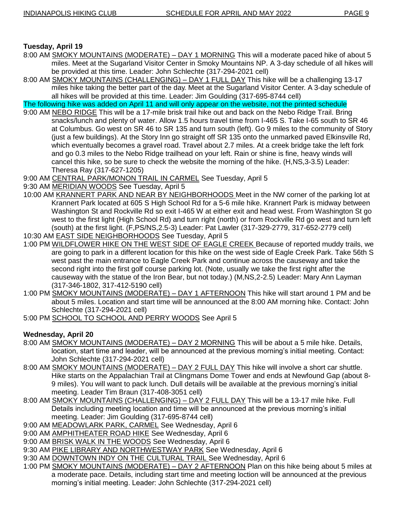## **Tuesday, April 19**

- 8:00 AM SMOKY MOUNTAINS (MODERATE) DAY 1 MORNING This will a moderate paced hike of about 5 miles. Meet at the Sugarland Visitor Center in Smoky Mountains NP. A 3-day schedule of all hikes will be provided at this time. Leader: John Schlechte (317-294-2021 cell)
- 8:00 AM SMOKY MOUNTAINS (CHALLENGING) DAY 1 FULL DAY This hike will be a challenging 13-17 miles hike taking the better part of the day. Meet at the Sugarland Visitor Center. A 3-day schedule of all hikes will be provided at this time. Leader: Jim Goulding (317-695-8744 cell)

The following hike was added on April 11 and will only appear on the website, not the printed schedule

- 9:00 AM NEBO RIDGE This will be a 17-mile brisk trail hike out and back on the Nebo Ridge Trail. Bring snacks/lunch and plenty of water. Allow 1.5 hours travel time from I-465 S. Take I-65 south to SR 46 at Columbus. Go west on SR 46 to SR 135 and turn south (left). Go 9 miles to the community of Story (just a few buildings). At the Story Inn go straight off SR 135 onto the unmarked paved Elkinsville Rd, which eventually becomes a gravel road. Travel about 2.7 miles. At a creek bridge take the left fork and go 0.3 miles to the Nebo Ridge trailhead on your left. Rain or shine is fine, heavy winds will cancel this hike, so be sure to check the website the morning of the hike. (H,NS,3-3.5) Leader: Theresa Ray (317-627-1205)
- 9:00 AM CENTRAL PARK/MONON TRAIL IN CARMEL See Tuesday, April 5
- 9:30 AM MERIDIAN WOODS See Tuesday, April 5
- 10:00 AM KRANNERT PARK AND NEAR BY NEIGHBORHOODS Meet in the NW corner of the parking lot at Krannert Park located at 605 S High School Rd for a 5-6 mile hike. Krannert Park is midway between Washington St and Rockville Rd so exit I-465 W at either exit and head west. From Washington St go west to the first light (High School Rd) and turn right (north) or from Rockville Rd go west and turn left (south) at the first light. (F,PS/NS,2.5-3) Leader: Pat Lawler (317-329-2779, 317-652-2779 cell) 10:30 AM EAST SIDE NEIGHBORHOODS See Tuesday, April 5
- 1:00 PM WILDFLOWER HIKE ON THE WEST SIDE OF EAGLE CREEK Because of reported muddy trails, we are going to park in a different location for this hike on the west side of Eagle Creek Park. Take 56th S west past the main entrance to Eagle Creek Park and continue across the causeway and take the second right into the first golf course parking lot. (Note, usually we take the first right after the causeway with the statue of the Iron Bear, but not today.) (M,NS,2-2.5) Leader: Mary Ann Layman
- (317-346-1802, 317-412-5190 cell) 1:00 PM SMOKY MOUNTAINS (MODERATE) – DAY 1 AFTERNOON This hike will start around 1 PM and be about 5 miles. Location and start time will be announced at the 8:00 AM morning hike. Contact: John Schlechte (317-294-2021 cell)
- 5:00 PM SCHOOL TO SCHOOL AND PERRY WOODS See April 5

## **Wednesday, April 20**

- 8:00 AM SMOKY MOUNTAINS (MODERATE) DAY 2 MORNING This will be about a 5 mile hike. Details, location, start time and leader, will be announced at the previous morning's initial meeting. Contact: John Schlechte (317-294-2021 cell)
- 8:00 AM SMOKY MOUNTAINS (MODERATE) DAY 2 FULL DAY This hike will involve a short car shuttle. Hike starts on the Appalachian Trail at Clingmans Dome Tower and ends at Newfound Gap (about 8- 9 miles). You will want to pack lunch. Dull details will be available at the previous morning's initial meeting. Leader Tim Braun (317-408-3051 cell)
- 8:00 AM SMOKY MOUNTAINS (CHALLENGING) DAY 2 FULL DAY This will be a 13-17 mile hike. Full Details including meeting location and time will be announced at the previous morning's initial meeting. Leader: Jim Goulding (317-695-8744 cell)
- 9:00 AM MEADOWLARK PARK, CARMEL See Wednesday, April 6
- 9:00 AM AMPHITHEATER ROAD HIKE See Wednesday, April 6
- 9:00 AM BRISK WALK IN THE WOODS See Wednesday, April 6
- 9:30 AM PIKE LIBRARY AND NORTHWESTWAY PARK See Wednesday, April 6
- 9:30 AM DOWNTOWN INDY ON THE CULTURAL TRAIL See Wednesday, April 6
- 1:00 PM SMOKY MOUNTAINS (MODERATE) DAY 2 AFTERNOON Plan on this hike being about 5 miles at a moderate pace. Details, including start time and meeting loction will be announced at the previous morning's initial meeting. Leader: John Schlechte (317-294-2021 cell)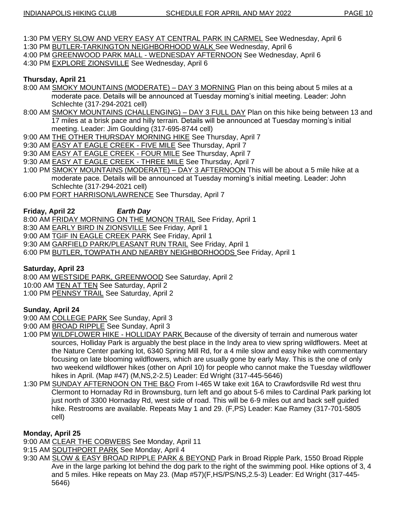- 1:30 PM VERY SLOW AND VERY EASY AT CENTRAL PARK IN CARMEL See Wednesday, April 6
- 1:30 PM BUTLER-TARKINGTON NEIGHBORHOOD WALK See Wednesday, April 6
- 4:00 PM GREENWOOD PARK MALL WEDNESDAY AFTERNOON See Wednesday, April 6
- 4:30 PM EXPLORE ZIONSVILLE See Wednesday, April 6

## **Thursday, April 21**

- 8:00 AM SMOKY MOUNTAINS (MODERATE) DAY 3 MORNING Plan on this being about 5 miles at a moderate pace. Details will be announced at Tuesday morning's initial meeting. Leader: John Schlechte (317-294-2021 cell)
- 8:00 AM SMOKY MOUNTAINS (CHALLENGING) DAY 3 FULL DAY Plan on this hike being between 13 and 17 miles at a brisk pace and hilly terrain. Details will be announced at Tuesday morning's initial meeting. Leader: Jim Goulding (317-695-8744 cell)
- 9:00 AM THE OTHER THURSDAY MORNING HIKE See Thursday, April 7
- 9:30 AM EASY AT EAGLE CREEK FIVE MILE See Thursday, April 7
- 9:30 AM EASY AT EAGLE CREEK FOUR MILE See Thursday, April 7
- 9:30 AM EASY AT EAGLE CREEK THREE MILE See Thursday, April 7
- 1:00 PM SMOKY MOUNTAINS (MODERATE) DAY 3 AFTERNOON This will be about a 5 mile hike at a moderate pace. Details will be announced at Tuesday morning's initial meeting. Leader: John Schlechte (317-294-2021 cell)
- 6:00 PM FORT HARRISON/LAWRENCE See Thursday, April 7

## **Friday, April 22** *Earth Day*

8:00 AM FRIDAY MORNING ON THE MONON TRAIL See Friday, April 1

- 8:30 AM EARLY BIRD IN ZIONSVILLE See Friday, April 1
- 9:00 AM TGIF IN EAGLE CREEK PARK See Friday, April 1
- 9:30 AM GARFIELD PARK/PLEASANT RUN TRAIL See Friday, April 1
- 6:00 PM BUTLER, TOWPATH AND NEARBY NEIGHBORHOODS See Friday, April 1

#### **Saturday, April 23**

8:00 AM WESTSIDE PARK, GREENWOOD See Saturday, April 2

- 10:00 AM TEN AT TEN See Saturday, April 2
- 1:00 PM PENNSY TRAIL See Saturday, April 2

## **Sunday, April 24**

- 9:00 AM COLLEGE PARK See Sunday, April 3
- 9:00 AM BROAD RIPPLE See Sunday, April 3
- 1:00 PM WILDFLOWER HIKE HOLLIDAY PARK Because of the diversity of terrain and numerous water sources, Holliday Park is arguably the best place in the Indy area to view spring wildflowers. Meet at the Nature Center parking lot, 6340 Spring Mill Rd, for a 4 mile slow and easy hike with commentary focusing on late blooming wildflowers, which are usually gone by early May. This is the one of only two weekend wildflower hikes (other on April 10) for people who cannot make the Tuesday wildflower hikes in April. (Map #47) (M,NS,2-2.5) Leader: Ed Wright (317-445-5646)
- 1:30 PM SUNDAY AFTERNOON ON THE B&O From I-465 W take exit 16A to Crawfordsville Rd west thru Clermont to Hornaday Rd in Brownsburg, turn left and go about 5-6 miles to Cardinal Park parking lot just north of 3300 Hornaday Rd, west side of road. This will be 6-9 miles out and back self guided hike. Restrooms are available. Repeats May 1 and 29. (F,PS) Leader: Kae Ramey (317-701-5805 cell)

## **Monday, April 25**

9:00 AM CLEAR THE COBWEBS See Monday, April 11

- 9:15 AM SOUTHPORT PARK See Monday, April 4
- 9:30 AM SLOW & EASY BROAD RIPPLE PARK & BEYOND Park in Broad Ripple Park, 1550 Broad Ripple Ave in the large parking lot behind the dog park to the right of the swimming pool. Hike options of 3, 4 and 5 miles. Hike repeats on May 23. (Map #57)(F,HS/PS/NS,2.5-3) Leader: Ed Wright (317-445- 5646)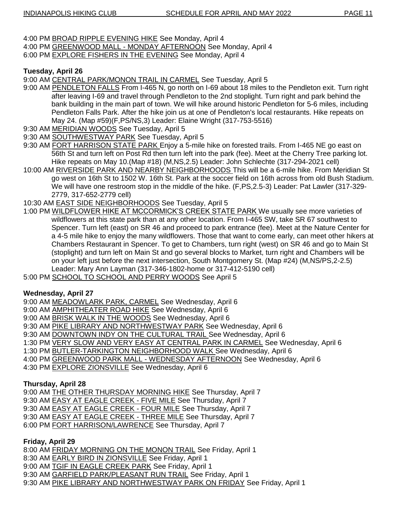- 4:00 PM BROAD RIPPLE EVENING HIKE See Monday, April 4
- 4:00 PM GREENWOOD MALL MONDAY AFTERNOON See Monday, April 4
- 6:00 PM EXPLORE FISHERS IN THE EVENING See Monday, April 4

## **Tuesday, April 26**

9:00 AM CENTRAL PARK/MONON TRAIL IN CARMEL See Tuesday, April 5

- 9:00 AM PENDLETON FALLS From I-465 N, go north on I-69 about 18 miles to the Pendleton exit. Turn right after leaving I-69 and travel through Pendleton to the 2nd stoplight. Turn right and park behind the bank building in the main part of town. We will hike around historic Pendleton for 5-6 miles, including Pendleton Falls Park. After the hike join us at one of Pendleton's local restaurants. Hike repeats on May 24. (Map #59)(F,PS/NS,3) Leader: Elaine Wright (317-753-5516)
- 9:30 AM MERIDIAN WOODS See Tuesday, April 5
- 9:30 AM SOUTHWESTWAY PARK See Tuesday, April 5
- 9:30 AM FORT HARRISON STATE PARK Enjoy a 5-mile hike on forested trails. From I-465 NE go east on 56th St and turn left on Post Rd then turn left into the park (fee). Meet at the Cherry Tree parking lot. Hike repeats on May 10.(Map #18) (M,NS,2.5) Leader: John Schlechte (317-294-2021 cell)
- 10:00 AM RIVERSIDE PARK AND NEARBY NEIGHBORHOODS This will be a 6-mile hike. From Meridian St go west on 16th St to 1502 W. 16th St. Park at the soccer field on 16th across from old Bush Stadium. We will have one restroom stop in the middle of the hike. (F,PS,2.5-3) Leader: Pat Lawler (317-329- 2779, 317-652-2779 cell)
- 10:30 AM EAST SIDE NEIGHBORHOODS See Tuesday, April 5
- 1:00 PM WILDFLOWER HIKE AT MCCORMICK'S CREEK STATE PARK We usually see more varieties of wildflowers at this state park than at any other location. From I-465 SW, take SR 67 southwest to Spencer. Turn left (east) on SR 46 and proceed to park entrance (fee). Meet at the Nature Center for a 4-5 mile hike to enjoy the many wildflowers. Those that want to come early, can meet other hikers at Chambers Restaurant in Spencer. To get to Chambers, turn right (west) on SR 46 and go to Main St (stoplight) and turn left on Main St and go several blocks to Market, turn right and Chambers will be on your left just before the next intersection, South Montgomery St. (Map #24) (M,NS/PS,2-2.5) Leader: Mary Ann Layman (317-346-1802-home or 317-412-5190 cell)
- 5:00 PM SCHOOL TO SCHOOL AND PERRY WOODS See April 5

#### **Wednesday, April 27**

- 9:00 AM MEADOWLARK PARK, CARMEL See Wednesday, April 6
- 9:00 AM AMPHITHEATER ROAD HIKE See Wednesday, April 6
- 9:00 AM BRISK WALK IN THE WOODS See Wednesday, April 6
- 9:30 AM PIKE LIBRARY AND NORTHWESTWAY PARK See Wednesday, April 6
- 9:30 AM DOWNTOWN INDY ON THE CULTURAL TRAIL See Wednesday, April 6
- 1:30 PM VERY SLOW AND VERY EASY AT CENTRAL PARK IN CARMEL See Wednesday, April 6
- 1:30 PM BUTLER-TARKINGTON NEIGHBORHOOD WALK See Wednesday, April 6
- 4:00 PM GREENWOOD PARK MALL WEDNESDAY AFTERNOON See Wednesday, April 6
- 4:30 PM EXPLORE ZIONSVILLE See Wednesday, April 6

#### **Thursday, April 28**

- 9:00 AM THE OTHER THURSDAY MORNING HIKE See Thursday, April 7
- 9:30 AM EASY AT EAGLE CREEK FIVE MILE See Thursday, April 7
- 9:30 AM EASY AT EAGLE CREEK FOUR MILE See Thursday, April 7
- 9:30 AM EASY AT EAGLE CREEK THREE MILE See Thursday, April 7
- 6:00 PM FORT HARRISON/LAWRENCE See Thursday, April 7

#### **Friday, April 29**

8:00 AM FRIDAY MORNING ON THE MONON TRAIL See Friday, April 1

- 8:30 AM EARLY BIRD IN ZIONSVILLE See Friday, April 1
- 9:00 AM TGIF IN EAGLE CREEK PARK See Friday, April 1
- 9:30 AM GARFIELD PARK/PLEASANT RUN TRAIL See Friday, April 1
- 9:30 AM PIKE LIBRARY AND NORTHWESTWAY PARK ON FRIDAY See Friday, April 1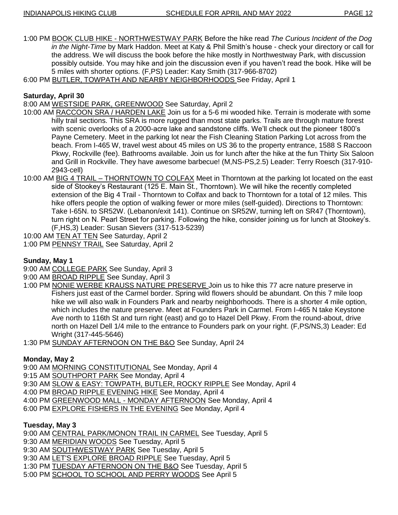1:00 PM BOOK CLUB HIKE - NORTHWESTWAY PARK Before the hike read *The Curious Incident of the Dog in the Night-Time* by Mark Haddon. Meet at Katy & Phil Smith's house - check your directory or call for the address. We will discuss the book before the hike mostly in Northwestway Park, with discussion possibly outside. You may hike and join the discussion even if you haven't read the book. Hike will be 5 miles with shorter options. (F,PS) Leader: Katy Smith (317-966-8702)

6:00 PM BUTLER, TOWPATH AND NEARBY NEIGHBORHOODS See Friday, April 1

## **Saturday, April 30**

8:00 AM WESTSIDE PARK, GREENWOOD See Saturday, April 2

- 10:00 AM RACCOON SRA / HARDEN LAKE Join us for a 5-6 mi wooded hike. Terrain is moderate with some hilly trail sections. This SRA is more rugged than most state parks. Trails are through mature forest with scenic overlooks of a 2000-acre lake and sandstone cliffs. We'll check out the pioneer 1800's Payne Cemetery. Meet in the parking lot near the Fish Cleaning Station Parking Lot across from the beach. From I-465 W, travel west about 45 miles on US 36 to the property entrance, 1588 S Raccoon Pkwy, Rockville (fee). Bathrooms available. Join us for lunch after the hike at the fun Thirty Six Saloon and Grill in Rockville. They have awesome barbecue! (M,NS-PS,2.5) Leader: Terry Roesch (317-910- 2943-cell)
- 10:00 AM BIG 4 TRAIL THORNTOWN TO COLFAX Meet in Thorntown at the parking lot located on the east side of Stookey's Restaurant (125 E. Main St., Thorntown). We will hike the recently completed extension of the Big 4 Trail - Thorntown to Colfax and back to Thorntown for a total of 12 miles. This hike offers people the option of walking fewer or more miles (self-guided). Directions to Thorntown: Take I-65N. to SR52W. (Lebanon/exit 141). Continue on SR52W, turning left on SR47 (Thorntown), turn right on N. Pearl Street for parking. Following the hike, consider joining us for lunch at Stookey's. (F,HS,3) Leader: Susan Sievers (317-513-5239)

10:00 AM TEN AT TEN See Saturday, April 2

1:00 PM PENNSY TRAIL See Saturday, April 2

#### **Sunday, May 1**

- 9:00 AM COLLEGE PARK See Sunday, April 3
- 9:00 AM BROAD RIPPLE See Sunday, April 3
- 1:00 PM NONIE WERBE KRAUSS NATURE PRESERVE Join us to hike this 77 acre nature preserve in Fishers just east of the Carmel border. Spring wild flowers should be abundant. On this 7 mile loop hike we will also walk in Founders Park and nearby neighborhoods. There is a shorter 4 mile option, which includes the nature preserve. Meet at Founders Park in Carmel. From I-465 N take Keystone Ave north to 116th St and turn right (east) and go to Hazel Dell Pkwy. From the round-about, drive north on Hazel Dell 1/4 mile to the entrance to Founders park on your right. (F,PS/NS,3) Leader: Ed Wright (317-445-5646)
- 1:30 PM SUNDAY AFTERNOON ON THE B&O See Sunday, April 24

## **Monday, May 2**

9:00 AM MORNING CONSTITUTIONAL See Monday, April 4

- 9:15 AM SOUTHPORT PARK See Monday, April 4
- 9:30 AM SLOW & EASY: TOWPATH, BUTLER, ROCKY RIPPLE See Monday, April 4
- 4:00 PM BROAD RIPPLE EVENING HIKE See Monday, April 4
- 4:00 PM GREENWOOD MALL MONDAY AFTERNOON See Monday, April 4
- 6:00 PM EXPLORE FISHERS IN THE EVENING See Monday, April 4

#### **Tuesday, May 3**

9:00 AM CENTRAL PARK/MONON TRAIL IN CARMEL See Tuesday, April 5

9:30 AM MERIDIAN WOODS See Tuesday, April 5

9:30 AM SOUTHWESTWAY PARK See Tuesday, April 5

9:30 AM LET'S EXPLORE BROAD RIPPLE See Tuesday, April 5

1:30 PM TUESDAY AFTERNOON ON THE B&O See Tuesday, April 5

5:00 PM SCHOOL TO SCHOOL AND PERRY WOODS See April 5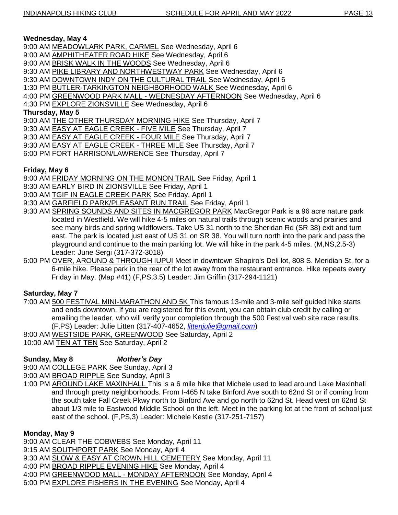#### **Wednesday, May 4**

- 9:00 AM MEADOWLARK PARK, CARMEL See Wednesday, April 6
- 9:00 AM **AMPHITHEATER ROAD HIKE** See Wednesday, April 6
- 9:00 AM BRISK WALK IN THE WOODS See Wednesday, April 6
- 9:30 AM PIKE LIBRARY AND NORTHWESTWAY PARK See Wednesday, April 6
- 9:30 AM DOWNTOWN INDY ON THE CULTURAL TRAIL See Wednesday, April 6
- 1:30 PM BUTLER-TARKINGTON NEIGHBORHOOD WALK See Wednesday, April 6
- 4:00 PM GREENWOOD PARK MALL WEDNESDAY AFTERNOON See Wednesday, April 6
- 4:30 PM EXPLORE ZIONSVILLE See Wednesday, April 6

#### **Thursday, May 5**

- 9:00 AM THE OTHER THURSDAY MORNING HIKE See Thursday, April 7
- 9:30 AM EASY AT EAGLE CREEK FIVE MILE See Thursday, April 7
- 9:30 AM EASY AT EAGLE CREEK FOUR MILE See Thursday, April 7
- 9:30 AM EASY AT EAGLE CREEK THREE MILE See Thursday, April 7
- 6:00 PM FORT HARRISON/LAWRENCE See Thursday, April 7

## **Friday, May 6**

- 8:00 AM FRIDAY MORNING ON THE MONON TRAIL See Friday, April 1
- 8:30 AM EARLY BIRD IN ZIONSVILLE See Friday, April 1
- 9:00 AM TGIF IN EAGLE CREEK PARK See Friday, April 1
- 9:30 AM GARFIELD PARK/PLEASANT RUN TRAIL See Friday, April 1
- 9:30 AM SPRING SOUNDS AND SITES IN MACGREGOR PARK MacGregor Park is a 96 acre nature park located in Westfield. We will hike 4-5 miles on natural trails through scenic woods and prairies and see many birds and spring wildflowers. Take US 31 north to the Sheridan Rd (SR 38) exit and turn east. The park is located just east of US 31 on SR 38. You will turn north into the park and pass the playground and continue to the main parking lot. We will hike in the park 4-5 miles. (M,NS,2.5-3) Leader: June Sergi (317-372-3018)
- 6:00 PM OVER, AROUND & THROUGH IUPUI Meet in downtown Shapiro's Deli lot, 808 S. Meridian St, for a 6-mile hike. Please park in the rear of the lot away from the restaurant entrance. Hike repeats every Friday in May. (Map #41) (F,PS,3.5) Leader: Jim Griffin (317-294-1121)

## **Saturday, May 7**

- 7:00 AM 500 FESTIVAL MINI-MARATHON AND 5K This famous 13-mile and 3-mile self guided hike starts and ends downtown. If you are registered for this event, you can obtain club credit by calling or emailing the leader, who will verify your completion through the 500 Festival web site race results. (F,PS) Leader: Julie Litten (317-407-4652, *[littenjulie@gmail.com](mailto:littenjulie@gmail.com)*)
- 8:00 AM WESTSIDE PARK, GREENWOOD See Saturday, April 2
- 10:00 AM TEN AT TEN See Saturday, April 2

#### **Sunday, May 8** *Mother's Day*

- 9:00 AM COLLEGE PARK See Sunday, April 3
- 9:00 AM BROAD RIPPLE See Sunday, April 3
- 1:00 PM AROUND LAKE MAXINHALL This is a 6 mile hike that Michele used to lead around Lake Maxinhall and through pretty neighborhoods. From I-465 N take Binford Ave south to 62nd St or if coming from the south take Fall Creek Pkwy north to Binford Ave and go north to 62nd St. Head west on 62nd St about 1/3 mile to Eastwood Middle School on the left. Meet in the parking lot at the front of school just east of the school. (F,PS,3) Leader: Michele Kestle (317-251-7157)

#### **Monday, May 9**

9:00 AM CLEAR THE COBWEBS See Monday, April 11

- 9:15 AM SOUTHPORT PARK See Monday, April 4
- 9:30 AM SLOW & EASY AT CROWN HILL CEMETERY See Monday, April 11
- 4:00 PM BROAD RIPPLE EVENING HIKE See Monday, April 4
- 4:00 PM GREENWOOD MALL MONDAY AFTERNOON See Monday, April 4
- 6:00 PM EXPLORE FISHERS IN THE EVENING See Monday, April 4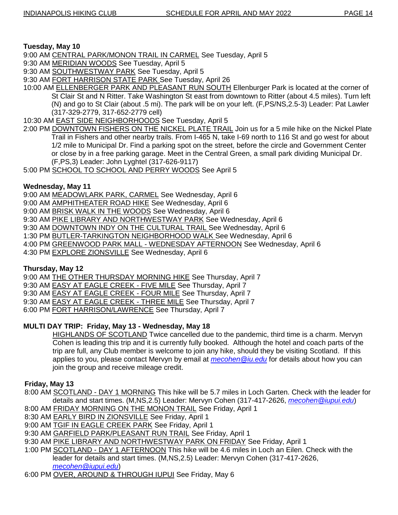## **Tuesday, May 10**

9:00 AM CENTRAL PARK/MONON TRAIL IN CARMEL See Tuesday, April 5

9:30 AM MERIDIAN WOODS See Tuesday, April 5

9:30 AM SOUTHWESTWAY PARK See Tuesday, April 5

9:30 AM FORT HARRISON STATE PARK See Tuesday, April 26

10:00 AM ELLENBERGER PARK AND PLEASANT RUN SOUTH Ellenburger Park is located at the corner of St Clair St and N Ritter. Take Washington St east from downtown to Ritter (about 4.5 miles). Turn left (N) and go to St Clair (about .5 mi). The park will be on your left. (F,PS/NS,2.5-3) Leader: Pat Lawler (317-329-2779, 317-652-2779 cell)

10:30 AM EAST SIDE NEIGHBORHOODS See Tuesday, April 5

2:00 PM DOWNTOWN FISHERS ON THE NICKEL PLATE TRAIL Join us for a 5 mile hike on the Nickel Plate Trail in Fishers and other nearby trails. From I-465 N, take I-69 north to 116 St and go west for about 1/2 mile to Municipal Dr. Find a parking spot on the street, before the circle and Government Center or close by in a free parking garage. Meet in the Central Green, a small park dividing Municipal Dr. (F,PS,3) Leader: John Lyghtel (317-626-9117)

5:00 PM SCHOOL TO SCHOOL AND PERRY WOODS See April 5

## **Wednesday, May 11**

9:00 AM MEADOWLARK PARK, CARMEL See Wednesday, April 6

- 9:00 AM AMPHITHEATER ROAD HIKE See Wednesday, April 6
- 9:00 AM BRISK WALK IN THE WOODS See Wednesday, April 6
- 9:30 AM PIKE LIBRARY AND NORTHWESTWAY PARK See Wednesday, April 6
- 9:30 AM DOWNTOWN INDY ON THE CULTURAL TRAIL See Wednesday, April 6
- 1:30 PM BUTLER-TARKINGTON NEIGHBORHOOD WALK See Wednesday, April 6
- 4:00 PM GREENWOOD PARK MALL WEDNESDAY AFTERNOON See Wednesday, April 6
- 4:30 PM EXPLORE ZIONSVILLE See Wednesday, April 6

#### **Thursday, May 12**

- 9:00 AM THE OTHER THURSDAY MORNING HIKE See Thursday, April 7
- 9:30 AM EASY AT EAGLE CREEK FIVE MILE See Thursday, April 7
- 9:30 AM EASY AT EAGLE CREEK FOUR MILE See Thursday, April 7
- 9:30 AM EASY AT EAGLE CREEK THREE MILE See Thursday, April 7
- 6:00 PM FORT HARRISON/LAWRENCE See Thursday, April 7

## **MULTI DAY TRIP: Friday, May 13 - Wednesday, May 18**

HIGHLANDS OF SCOTLAND Twice cancelled due to the pandemic, third time is a charm. Mervyn Cohen is leading this trip and it is currently fully booked. Although the hotel and coach parts of the trip are full, any Club member is welcome to join any hike, should they be visiting Scotland. If this applies to you, please contact Mervyn by email at *[mecohen@iu.edu](mailto:mecohen@iu.edu)* for details about how you can join the group and receive mileage credit.

## **Friday, May 13**

- 8:00 AM SCOTLAND DAY 1 MORNING This hike will be 5.7 miles in Loch Garten. Check with the leader for details and start times. (M,NS,2.5) Leader: Mervyn Cohen (317-417-2626, *[mecohen@iupui.edu](mailto:mecohen@iupui.edu)*)
- 8:00 AM FRIDAY MORNING ON THE MONON TRAIL See Friday, April 1
- 8:30 AM EARLY BIRD IN ZIONSVILLE See Friday, April 1
- 9:00 AM TGIF IN EAGLE CREEK PARK See Friday, April 1
- 9:30 AM GARFIELD PARK/PLEASANT RUN TRAIL See Friday, April 1
- 9:30 AM PIKE LIBRARY AND NORTHWESTWAY PARK ON FRIDAY See Friday, April 1
- 1:00 PM SCOTLAND DAY 1 AFTERNOON This hike will be 4.6 miles in Loch an Eilen. Check with the leader for details and start times. (M,NS,2.5) Leader: Mervyn Cohen (317-417-2626, *[mecohen@iupui.edu](mailto:mecohen@iupui.edu)*)
- 6:00 PM OVER, AROUND & THROUGH IUPUI See Friday, May 6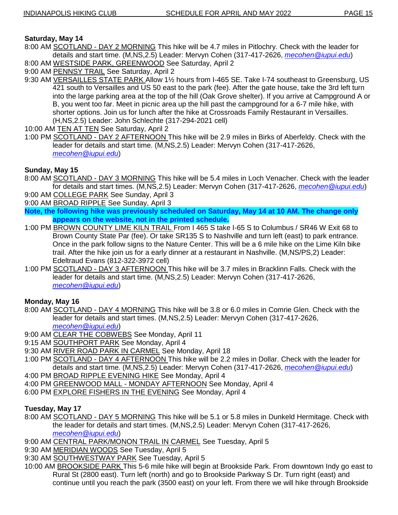## **Saturday, May 14**

- 8:00 AM SCOTLAND DAY 2 MORNING This hike will be 4.7 miles in Pitlochry. Check with the leader for details and start time. (M,NS,2.5) Leader: Mervyn Cohen (317-417-2626, *[mecohen@iupui.edu](mailto:mecohen@iupui.edu)*)
- 8:00 AM WESTSIDE PARK, GREENWOOD See Saturday, April 2
- 9:00 AM PENNSY TRAIL See Saturday, April 2
- 9:30 AM VERSAILLES STATE PARK Allow 1½ hours from I-465 SE. Take I-74 southeast to Greensburg, US 421 south to Versailles and US 50 east to the park (fee). After the gate house, take the 3rd left turn into the large parking area at the top of the hill (Oak Grove shelter). If you arrive at Campground A or B, you went too far. Meet in picnic area up the hill past the campground for a 6-7 mile hike, with shorter options. Join us for lunch after the hike at Crossroads Family Restaurant in Versailles. (H,NS,2.5) Leader: John Schlechte (317-294-2021 cell)
- 10:00 AM TEN AT TEN See Saturday, April 2
- 1:00 PM SCOTLAND DAY 2 AFTERNOON This hike will be 2.9 miles in Birks of Aberfeldy. Check with the leader for details and start time. (M,NS,2.5) Leader: Mervyn Cohen (317-417-2626, *[mecohen@iupui.edu](mailto:mecohen@iupui.edu)*)

## **Sunday, May 15**

- 8:00 AM SCOTLAND DAY 3 MORNING This hike will be 5.4 miles in Loch Venacher. Check with the leader for details and start times. (M,NS,2.5) Leader: Mervyn Cohen (317-417-2626, *[mecohen@iupui.edu](mailto:mecohen@iupui.edu)*)
- 9:00 AM COLLEGE PARK See Sunday, April 3
- 9:00 AM BROAD RIPPLE See Sunday, April 3
- **Note, the following hike was previously scheduled on Saturday, May 14 at 10 AM. The change only appears on the website, not in the printed schedule.**
- 1:00 PM BROWN COUNTY LIME KILN TRAIL From I 465 S take I-65 S to Columbus / SR46 W Exit 68 to Brown County State Par (fee). Or take SR135 S to Nashville and turn left (east) to park entrance. Once in the park follow signs to the Nature Center. This will be a 6 mile hike on the Lime Kiln bike trail. After the hike join us for a early dinner at a restaurant in Nashville. (M,NS/PS,2) Leader: Edeltraud Evans (812-322-3972 cell)
- 1:00 PM SCOTLAND DAY 3 AFTERNOON This hike will be 3.7 miles in Bracklinn Falls. Check with the leader for details and start time. (M,NS,2.5) Leader: Mervyn Cohen (317-417-2626, *[mecohen@iupui.edu](mailto:mecohen@iupui.edu)*)

#### **Monday, May 16**

- 8:00 AM SCOTLAND DAY 4 MORNING This hike will be 3.8 or 6.0 miles in Comrie Glen. Check with the leader for details and start times. (M,NS,2.5) Leader: Mervyn Cohen (317-417-2626, *[mecohen@iupui.edu](mailto:mecohen@iupui.edu)*)
- 9:00 AM CLEAR THE COBWEBS See Monday, April 11
- 9:15 AM **SOUTHPORT PARK See Monday, April 4**
- 9:30 AM RIVER ROAD PARK IN CARMEL See Monday, April 18
- 1:00 PM SCOTLAND DAY 4 AFTERNOON This hike will be 2.2 miles in Dollar. Check with the leader for details and start time. (M,NS,2.5) Leader: Mervyn Cohen (317-417-2626, *[mecohen@iupui.edu](mailto:mecohen@iupui.edu)*)
- 4:00 PM BROAD RIPPLE EVENING HIKE See Monday, April 4
- 4:00 PM GREENWOOD MALL MONDAY AFTERNOON See Monday, April 4
- 6:00 PM EXPLORE FISHERS IN THE EVENING See Monday, April 4

## **Tuesday, May 17**

- 8:00 AM SCOTLAND DAY 5 MORNING This hike will be 5.1 or 5.8 miles in Dunkeld Hermitage. Check with the leader for details and start times. (M,NS,2.5) Leader: Mervyn Cohen (317-417-2626, *[mecohen@iupui.edu](mailto:mecohen@iupui.edu)*)
- 9:00 AM CENTRAL PARK/MONON TRAIL IN CARMEL See Tuesday, April 5
- 9:30 AM MERIDIAN WOODS See Tuesday, April 5
- 9:30 AM SOUTHWESTWAY PARK See Tuesday, April 5
- 10:00 AM BROOKSIDE PARK This 5-6 mile hike will begin at Brookside Park. From downtown Indy go east to Rural St (2800 east). Turn left (north) and go to Brookside Parkway S Dr. Turn right (east) and continue until you reach the park (3500 east) on your left. From there we will hike through Brookside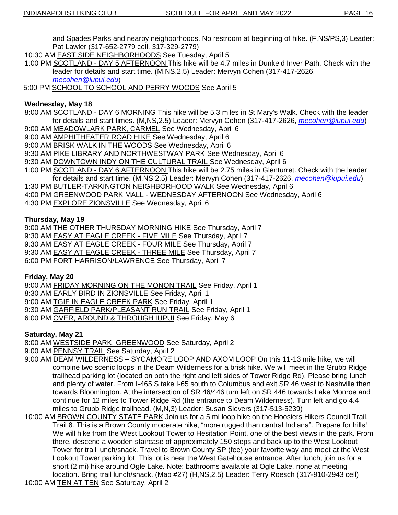and Spades Parks and nearby neighborhoods. No restroom at beginning of hike. (F,NS/PS,3) Leader: Pat Lawler (317-652-2779 cell, 317-329-2779)

- 10:30 AM EAST SIDE NEIGHBORHOODS See Tuesday, April 5
- 1:00 PM SCOTLAND DAY 5 AFTERNOON This hike will be 4.7 miles in Dunkeld Inver Path. Check with the leader for details and start time. (M,NS,2.5) Leader: Mervyn Cohen (317-417-2626, *[mecohen@iupui.edu](mailto:mecohen@iupui.edu)*)
- 5:00 PM SCHOOL TO SCHOOL AND PERRY WOODS See April 5

#### **Wednesday, May 18**

- 8:00 AM SCOTLAND DAY 6 MORNING This hike will be 5.3 miles in St Mary's Walk. Check with the leader for details and start times. (M,NS,2.5) Leader: Mervyn Cohen (317-417-2626, *[mecohen@iupui.edu](mailto:mecohen@iupui.edu)*)
- 9:00 AM MEADOWLARK PARK, CARMEL See Wednesday, April 6
- 9:00 AM **AMPHITHEATER ROAD HIKE** See Wednesday, April 6
- 9:00 AM BRISK WALK IN THE WOODS See Wednesday, April 6
- 9:30 AM PIKE LIBRARY AND NORTHWESTWAY PARK See Wednesday, April 6
- 9:30 AM DOWNTOWN INDY ON THE CULTURAL TRAIL See Wednesday, April 6
- 1:00 PM SCOTLAND DAY 6 AFTERNOON This hike will be 2.75 miles in Glenturret. Check with the leader for details and start time. (M,NS,2.5) Leader: Mervyn Cohen (317-417-2626, *[mecohen@iupui.edu](mailto:mecohen@iupui.edu)*)
- 1:30 PM BUTLER-TARKINGTON NEIGHBORHOOD WALK See Wednesday, April 6
- 4:00 PM GREENWOOD PARK MALL WEDNESDAY AFTERNOON See Wednesday, April 6
- 4:30 PM EXPLORE ZIONSVILLE See Wednesday, April 6

#### **Thursday, May 19**

- 9:00 AM THE OTHER THURSDAY MORNING HIKE See Thursday, April 7
- 9:30 AM EASY AT EAGLE CREEK FIVE MILE See Thursday, April 7
- 9:30 AM EASY AT EAGLE CREEK FOUR MILE See Thursday, April 7
- 9:30 AM EASY AT EAGLE CREEK THREE MILE See Thursday, April 7
- 6:00 PM FORT HARRISON/LAWRENCE See Thursday, April 7

#### **Friday, May 20**

- 8:00 AM FRIDAY MORNING ON THE MONON TRAIL See Friday, April 1
- 8:30 AM EARLY BIRD IN ZIONSVILLE See Friday, April 1
- 9:00 AM TGIF IN EAGLE CREEK PARK See Friday, April 1
- 9:30 AM GARFIELD PARK/PLEASANT RUN TRAIL See Friday, April 1
- 6:00 PM OVER, AROUND & THROUGH IUPUI See Friday, May 6

#### **Saturday, May 21**

- 8:00 AM WESTSIDE PARK, GREENWOOD See Saturday, April 2
- 9:00 AM PENNSY TRAIL See Saturday, April 2
- 9:00 AM DEAM WILDERNESS SYCAMORE LOOP AND AXOM LOOP On this 11-13 mile hike, we will combine two scenic loops in the Deam Wilderness for a brisk hike. We will meet in the Grubb Ridge trailhead parking lot (located on both the right and left sides of Tower Ridge Rd). Please bring lunch and plenty of water. From I-465 S take I-65 south to Columbus and exit SR 46 west to Nashville then towards Bloomington. At the intersection of SR 46/446 turn left on SR 446 towards Lake Monroe and continue for 12 miles to Tower Ridge Rd (the entrance to Deam Wilderness). Turn left and go 4.4 miles to Grubb Ridge trailhead. (M,N,3) Leader: Susan Sievers (317-513-5239)
- 10:00 AM BROWN COUNTY STATE PARK Join us for a 5 mi loop hike on the Hoosiers Hikers Council Trail, Trail 8. This is a Brown County moderate hike, "more rugged than central Indiana". Prepare for hills! We will hike from the West Lookout Tower to Hesitation Point, one of the best views in the park. From there, descend a wooden staircase of approximately 150 steps and back up to the West Lookout Tower for trail lunch/snack. Travel to Brown County SP (fee) your favorite way and meet at the West Lookout Tower parking lot. This lot is near the West Gatehouse entrance. After lunch, join us for a short (2 mi) hike around Ogle Lake. Note: bathrooms available at Ogle Lake, none at meeting location. Bring trail lunch/snack. (Map #27) (H,NS,2.5) Leader: Terry Roesch (317-910-2943 cell)
- 10:00 AM TEN AT TEN See Saturday, April 2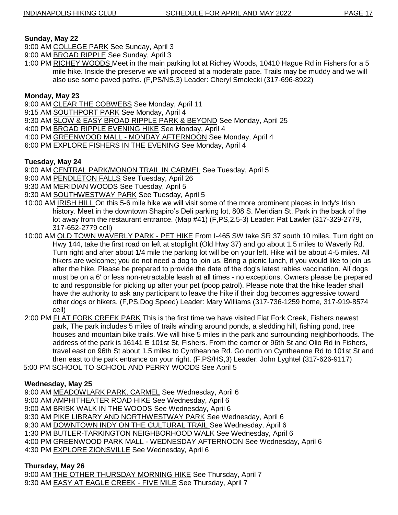## **Sunday, May 22**

- 9:00 AM COLLEGE PARK See Sunday, April 3
- 9:00 AM BROAD RIPPLE See Sunday, April 3
- 1:00 PM RICHEY WOODS Meet in the main parking lot at Richey Woods, 10410 Hague Rd in Fishers for a 5 mile hike. Inside the preserve we will proceed at a moderate pace. Trails may be muddy and we will also use some paved paths. (F,PS/NS,3) Leader: Cheryl Smolecki (317-696-8922)

## **Monday, May 23**

- 9:00 AM CLEAR THE COBWEBS See Monday, April 11
- 9:15 AM SOUTHPORT PARK See Monday, April 4
- 9:30 AM SLOW & EASY BROAD RIPPLE PARK & BEYOND See Monday, April 25
- 4:00 PM BROAD RIPPLE EVENING HIKE See Monday, April 4
- 4:00 PM GREENWOOD MALL MONDAY AFTERNOON See Monday, April 4
- 6:00 PM EXPLORE FISHERS IN THE EVENING See Monday, April 4

## **Tuesday, May 24**

- 9:00 AM CENTRAL PARK/MONON TRAIL IN CARMEL See Tuesday, April 5
- 9:00 AM PENDLETON FALLS See Tuesday, April 26
- 9:30 AM MERIDIAN WOODS See Tuesday, April 5
- 9:30 AM SOUTHWESTWAY PARK See Tuesday, April 5
- 10:00 AM IRISH HILL On this 5-6 mile hike we will visit some of the more prominent places in Indy's Irish history. Meet in the downtown Shapiro's Deli parking lot, 808 S. Meridian St. Park in the back of the lot away from the restaurant entrance. (Map #41) (F,PS,2.5-3) Leader: Pat Lawler (317-329-2779, 317-652-2779 cell)
- 10:00 AM OLD TOWN WAVERLY PARK PET HIKE From I-465 SW take SR 37 south 10 miles. Turn right on Hwy 144, take the first road on left at stoplight (Old Hwy 37) and go about 1.5 miles to Waverly Rd. Turn right and after about 1/4 mile the parking lot will be on your left. Hike will be about 4-5 miles. All hikers are welcome; you do not need a dog to join us. Bring a picnic lunch, if you would like to join us after the hike. Please be prepared to provide the date of the dog's latest rabies vaccination. All dogs must be on a 6' or less non-retractable leash at all times - no exceptions. Owners please be prepared to and responsible for picking up after your pet (poop patrol). Please note that the hike leader shall have the authority to ask any participant to leave the hike if their dog becomes aggressive toward other dogs or hikers. (F,PS,Dog Speed) Leader: Mary Williams (317-736-1259 home, 317-919-8574 cell)
- 2:00 PM FLAT FORK CREEK PARK This is the first time we have visited Flat Fork Creek, Fishers newest park, The park includes 5 miles of trails winding around ponds, a sledding hill, fishing pond, tree houses and mountain bike trails. We will hike 5 miles in the park and surrounding neighborhoods. The address of the park is 16141 E 101st St, Fishers. From the corner or 96th St and Olio Rd in Fishers, travel east on 96th St about 1.5 miles to Cyntheanne Rd. Go north on Cyntheanne Rd to 101st St and then east to the park entrance on your right. (F,PS/HS,3) Leader: John Lyghtel (317-626-9117)
- 5:00 PM SCHOOL TO SCHOOL AND PERRY WOODS See April 5

## **Wednesday, May 25**

9:00 AM MEADOWLARK PARK, CARMEL See Wednesday, April 6

- 9:00 AM **AMPHITHEATER ROAD HIKE** See Wednesday, April 6
- 9:00 AM BRISK WALK IN THE WOODS See Wednesday, April 6
- 9:30 AM PIKE LIBRARY AND NORTHWESTWAY PARK See Wednesday, April 6
- 9:30 AM DOWNTOWN INDY ON THE CULTURAL TRAIL See Wednesday, April 6
- 1:30 PM BUTLER-TARKINGTON NEIGHBORHOOD WALK See Wednesday, April 6
- 4:00 PM GREENWOOD PARK MALL WEDNESDAY AFTERNOON See Wednesday, April 6
- 4:30 PM EXPLORE ZIONSVILLE See Wednesday, April 6

## **Thursday, May 26**

9:00 AM THE OTHER THURSDAY MORNING HIKE See Thursday, April 7 9:30 AM EASY AT EAGLE CREEK - FIVE MILE See Thursday, April 7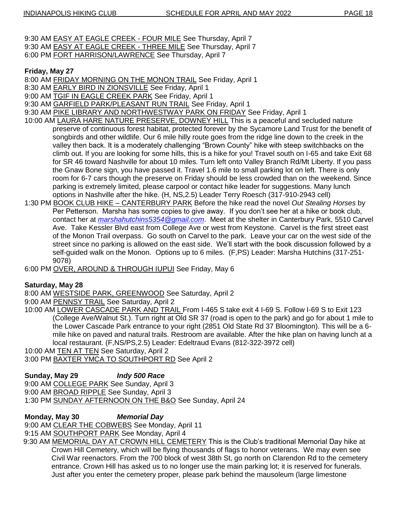- 9:30 AM EASY AT EAGLE CREEK FOUR MILE See Thursday, April 7
- 9:30 AM EASY AT EAGLE CREEK THREE MILE See Thursday, April 7
- 6:00 PM FORT HARRISON/LAWRENCE See Thursday, April 7

## **Friday, May 27**

- 8:00 AM FRIDAY MORNING ON THE MONON TRAIL See Friday, April 1
- 8:30 AM EARLY BIRD IN ZIONSVILLE See Friday, April 1
- 9:00 AM TGIF IN EAGLE CREEK PARK See Friday, April 1
- 9:30 AM GARFIELD PARK/PLEASANT RUN TRAIL See Friday, April 1
- 9:30 AM PIKE LIBRARY AND NORTHWESTWAY PARK ON FRIDAY See Friday, April 1
- 10:00 AM LAURA HARE NATURE PRESERVE, DOWNEY HILL This is a peaceful and secluded nature preserve of continuous forest habitat, protected forever by the Sycamore Land Trust for the benefit of songbirds and other wildlife. Our 6 mile hilly route goes from the ridge line down to the creek in the valley then back. It is a moderately challenging "Brown County" hike with steep switchbacks on the climb out. If you are looking for some hills, this is a hike for you! Travel south on I-65 and take Exit 68 for SR 46 toward Nashville for about 10 miles. Turn left onto Valley Branch Rd/Mt Liberty. If you pass the Gnaw Bone sign, you have passed it. Travel 1.6 mile to small parking lot on left. There is only room for 6-7 cars though the preserve on Friday should be less crowded than on the weekend. Since parking is extremely limited, please carpool or contact hike leader for suggestions. Many lunch options in Nashville after the hike. (H, NS,2.5) Leader Terry Roesch (317-910-2943 cell)
- 1:30 PM BOOK CLUB HIKE CANTERBURY PARK Before the hike read the novel *Out Stealing Horses* by Per Petterson. Marsha has some copies to give away. If you don't see her at a hike or book club, contact her at *[marshahutchins5354@gmail.com](mailto:marshahutchins5354@gmail.com)*. Meet at the shelter in Canterbury Park, 5510 Carvel Ave. Take Kessler Blvd east from College Ave or west from Keystone. Carvel is the first street east of the Monon Trail overpass. Go south on Carvel to the park. Leave your car on the west side of the street since no parking is allowed on the east side. We'll start with the book discussion followed by a self-guided walk on the Monon. Options up to 6 miles. (F,PS) Leader: Marsha Hutchins (317-251- 9078)
- 6:00 PM OVER, AROUND & THROUGH IUPUI See Friday, May 6

## **Saturday, May 28**

8:00 AM WESTSIDE PARK, GREENWOOD See Saturday, April 2

9:00 AM PENNSY TRAIL See Saturday, April 2

10:00 AM LOWER CASCADE PARK AND TRAIL From I-465 S take exit 4 I-69 S. Follow I-69 S to Exit 123 (College Ave/Walnut St.). Turn right at Old SR 37 (road is open to the park) and go for about 1 mile to the Lower Cascade Park entrance to your right (2851 Old State Rd 37 Bloomington). This will be a 6 mile hike on paved and natural trails. Restroom are available. After the hike plan on having lunch at a local restaurant. (F,NS/PS,2.5) Leader: Edeltraud Evans (812-322-3972 cell)

10:00 AM TEN AT TEN See Saturday, April 2

3:00 PM BAXTER YMCA TO SOUTHPORT RD See April 2

## **Sunday, May 29** *Indy 500 Race*

- 9:00 AM COLLEGE PARK See Sunday, April 3
- 9:00 AM BROAD RIPPLE See Sunday, April 3
- 1:30 PM SUNDAY AFTERNOON ON THE B&O See Sunday, April 24

## **Monday, May 30** *Memorial Day*

9:00 AM CLEAR THE COBWEBS See Monday, April 11

9:15 AM SOUTHPORT PARK See Monday, April 4

9:30 AM MEMORIAL DAY AT CROWN HILL CEMETERY This is the Club's traditional Memorial Day hike at Crown Hill Cemetery, which will be flying thousands of flags to honor veterans. We may even see Civil War reenactors. From the 700 block of west 38th St, go north on Clarendon Rd to the cemetery entrance. Crown Hill has asked us to no longer use the main parking lot; it is reserved for funerals. Just after you enter the cemetery proper, please park behind the mausoleum (large limestone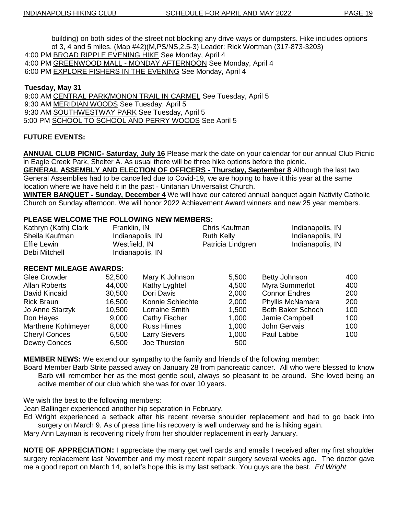building) on both sides of the street not blocking any drive ways or dumpsters. Hike includes options of 3, 4 and 5 miles. (Map #42)(M,PS/NS,2.5-3) Leader: Rick Wortman (317-873-3203) 4:00 PM BROAD RIPPLE EVENING HIKE See Monday, April 4

4:00 PM GREENWOOD MALL - MONDAY AFTERNOON See Monday, April 4

6:00 PM EXPLORE FISHERS IN THE EVENING See Monday, April 4

#### **Tuesday, May 31**

9:00 AM CENTRAL PARK/MONON TRAIL IN CARMEL See Tuesday, April 5 9:30 AM MERIDIAN WOODS See Tuesday, April 5 9:30 AM SOUTHWESTWAY PARK See Tuesday, April 5 5:00 PM SCHOOL TO SCHOOL AND PERRY WOODS See April 5

#### **FUTURE EVENTS:**

**ANNUAL CLUB PICNIC- Saturday, July 16** Please mark the date on your calendar for our annual Club Picnic in Eagle Creek Park, Shelter A. As usual there will be three hike options before the picnic.

**GENERAL ASSEMBLY AND ELECTION OF OFFICERS - Thursday, September 8** Although the last two General Assemblies had to be cancelled due to Covid-19, we are hoping to have it this year at the same location where we have held it in the past - Unitarian Universalist Church.

**WINTER BANQUET - Sunday, December 4** We will have our catered annual banquet again Nativity Catholic Church on Sunday afternoon. We will honor 2022 Achievement Award winners and new 25 year members.

#### **PLEASE WELCOME THE FOLLOWING NEW MEMBERS:**

| Kathryn (Kath) Clark | Franklin, IN     | Chris Kaufman     | Indianapolis, IN |
|----------------------|------------------|-------------------|------------------|
| Sheila Kaufman       | Indianapolis, IN | Ruth Kelly        | Indianapolis, IN |
| Effie Lewin          | Westfield, IN    | Patricia Lindgren | Indianapolis, IN |
| Debi Mitchell        | Indianapolis, IN |                   |                  |

#### **RECENT MILEAGE AWARDS:**

| Glee Crowder         | 52,500 | Mary K Johnson       | 5,500 | Betty Johnson            | 400 |
|----------------------|--------|----------------------|-------|--------------------------|-----|
| <b>Allan Roberts</b> | 44,000 | Kathy Lyghtel        | 4,500 | Myra Summerlot           | 400 |
| David Kincaid        | 30,500 | Dori Davis           | 2,000 | <b>Connor Endres</b>     | 200 |
| <b>Rick Braun</b>    | 16,500 | Konnie Schlechte     | 2,000 | Phyllis McNamara         | 200 |
| Jo Anne Starzyk      | 10,500 | Lorraine Smith       | 1,500 | <b>Beth Baker Schoch</b> | 100 |
| Don Hayes            | 9,000  | <b>Cathy Fischer</b> | 1,000 | Jamie Campbell           | 100 |
| Marthene Kohlmeyer   | 8,000  | <b>Russ Himes</b>    | 1,000 | John Gervais             | 100 |
| <b>Cheryl Conces</b> | 6,500  | <b>Larry Sievers</b> | 1,000 | Paul Labbe               | 100 |
| Dewey Conces         | 6,500  | Joe Thurston         | 500   |                          |     |

**MEMBER NEWS:** We extend our sympathy to the family and friends of the following member:

Board Member Barb Strite passed away on January 28 from pancreatic cancer. All who were blessed to know Barb will remember her as the most gentle soul, always so pleasant to be around. She loved being an active member of our club which she was for over 10 years.

We wish the best to the following members:

Jean Ballinger experienced another hip separation in February.

Ed Wright experienced a setback after his recent reverse shoulder replacement and had to go back into surgery on March 9. As of press time his recovery is well underway and he is hiking again.

Mary Ann Layman is recovering nicely from her shoulder replacement in early January.

**NOTE OF APPRECIATION:** I appreciate the many get well cards and emails I received after my first shoulder surgery replacement last November and my most recent repair surgery several weeks ago. The doctor gave me a good report on March 14, so let's hope this is my last setback. You guys are the best. *Ed Wright*